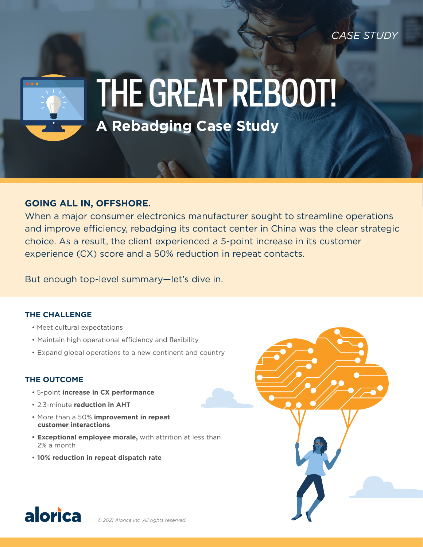*CASE STUDY*



# THE GREAT REBOOT!

**A Rebadging Case Study** 

# **GOING ALL IN, OFFSHORE.**

When a major consumer electronics manufacturer sought to streamline operations and improve efficiency, rebadging its contact center in China was the clear strategic choice. As a result, the client experienced a 5-point increase in its customer experience (CX) score and a 50% reduction in repeat contacts.

But enough top-level summary—let's dive in.

# **THE CHALLENGE**

- Meet cultural expectations
- Maintain high operational efficiency and flexibility
- Expand global operations to a new continent and country

# **THE OUTCOME**

- 5-point **increase in CX performance**
- 2.3-minute **reduction in AHT**
- More than a 50% **improvement in repeat customer interactions**
- **• Exceptional employee morale,** with attrition at less than 2% a month
- **10% reduction in repeat dispatch rate**



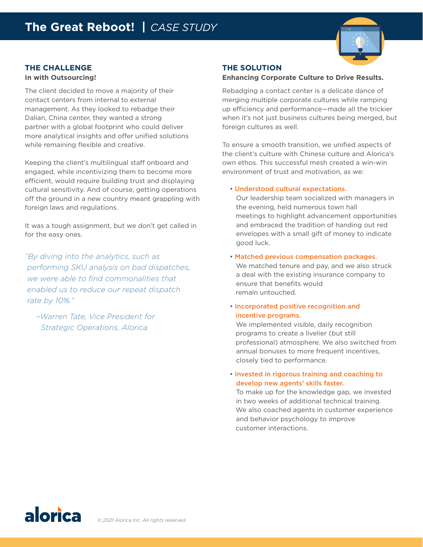

# **THE CHALLENGE**

#### **In with Outsourcing!**

The client decided to move a majority of their contact centers from internal to external management. As they looked to rebadge their Dalian, China center, they wanted a strong partner with a global footprint who could deliver more analytical insights and offer unified solutions while remaining flexible and creative.

Keeping the client's multilingual staff onboard and engaged, while incentivizing them to become more efficient, would require building trust and displaying cultural sensitivity. And of course, getting operations off the ground in a new country meant grappling with foreign laws and regulations.

It was a tough assignment, but we don't get called in for the easy ones.

*"By diving into the analytics, such as performing SKU analysis on bad dispatches, we were able to find commonalities that enabled us to reduce our repeat dispatch rate by 10%."* 

 *–Warren Tate, Vice President for Strategic Operations, Alorica*

#### **THE SOLUTION**

#### **Enhancing Corporate Culture to Drive Results.**

Rebadging a contact center is a delicate dance of merging multiple corporate cultures while ramping up efficiency and performance—made all the trickier when it's not just business cultures being merged, but foreign cultures as well.

To ensure a smooth transition, we unified aspects of the client's culture with Chinese culture and Alorica's own ethos. This successful mesh created a win-win environment of trust and motivation, as we:

#### • Understood cultural expectations.

Our leadership team socialized with managers in the evening, held numerous town hall meetings to highlight advancement opportunities and embraced the tradition of handing out red envelopes with a small gift of money to indicate good luck.

#### • Matched previous compensation packages.

We matched tenure and pay, and we also struck a deal with the existing insurance company to ensure that benefits would remain untouched.

### • Incorporated positive recognition and incentive programs.

We implemented visible, daily recognition programs to create a livelier (but still professional) atmosphere. We also switched from annual bonuses to more frequent incentives. closely tied to performance.

## • Invested in rigorous training and coaching to develop new agents' skills faster.

To make up for the knowledge gap, we invested in two weeks of additional technical training. We also coached agents in customer experience and behavior psychology to improve customer interactions.